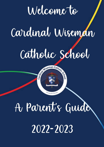

2022-2023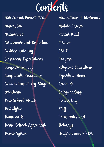

Arbor and Parent Portal Assemblies Attendance Behaviour and Discipline Cashless Catering Classroom Expectations Compass For Life Complaints Procedure Curriculum at Key Stage 3 Detentions Free School Meals Hairstyles Homework Home School Agreement House System

Medications / Medicines Mobile Phones Parent Mail Policies PSHE Prayers Religious Education Reporting Home Rewards Safeguarding School Day Staff Term Dates and Holidays Uniform and PE Kit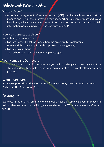### Arbor and Parent Portal

### What is Arbor?

Arbor is a management information system (MIS) that helps schools collect, store, manage and use all the information they need. Arbor is a simple, smart and cloudbased MIS, which means you can log into Arbor to see and update your child's information or make payments and bookings yourself!

### How can parents use Arbor?

Here's how you can use Arbor:

- Log into Parent Portal for Google Chrome on computers or laptops
- Download the Arbor App from the App Store or Google Play
- Log in on your phone
- Your school can then send you in-app messages.

### Your Homepage Dashboard

The dashboard is the first screen that you will see. This gives a quick glance of the student's daily timetable, behaviour points, notices, current attendance and progress.

### Learn more here:

[https://support.arbor-education.com/hc/en-us/sections/4409013168273-Parent-](https://support.arbor-education.com/hc/en-us/sections/4409013168273-Parent-Portal-and-the-Arbor-App-FAQs)Portal-and-the-Arbor-App-FAQs

## Assemblies

Every year group has an assembly once a week. Year 7 assembly is every Monday and follows themes based on the Liturgical calendar and the Wiseman Values – A Compass for Life.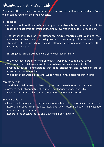## Attendance ~ A Short Guide

Please read this in conjunction with the latest version of the Romero Attendance Policy which can be found on the school website.

Introduction

- At our school we firmly believe that good attendance is crucial for your child to reach their academic potential and feel fully involved in all aspects of school life.
- The school is judged on the attendance figures reported each year and must demonstrate that they are taking steps to promote good attendance of all students, take action where a child's attendance is poor and to improve their figures year on year.

Ensuring your child's attendance is your legal responsibility.

- We know that in order for children to learn well they need to be at school.
- We care about children and want them to have the best chances in life.
- Everybody needs to understand that good attendance and punctuality are an essential part of school life.
- We believe that working together we can make things better for our children.

Parents need to:

- Send their children to school regularly and on time (school starts at 8.55am).
- Arrange medical appointments out of school hours whenever possible.
- Ensure holidays are taken during times when the school is closed.

School needs to:

- Ensure that the register for attendance is maintained both morning and afternoon.
- Record and code absences accurately and take necessary action to investigate absences and poor attendance.
- Report to the Local Authority and Governing Body regularly.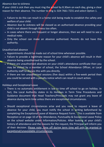#### Absence due to sickness

If your child is sick then you must ring the school by 8.30am on each day, giving a clear reason for their absence. The number to ring is: 024 7661 7231 and select Option 1.

- Failure to do this can result in a home visit being made to establish the safety and welfare of your child.
- Absence due to sickness will be classed as an authorised absence providing your child is not absent through illness too often.
- In cases where there are frequent or longer absences, then we will need to see a medical note.
- Only the school can make an absence authorised. Parents do not have this authority.

#### Unauthorised absence

- Appointments should be made out of school time whenever possible.
- Failure to provide a legitimate reason for your child's absence will result in their absence being unauthorised by the school.
- If there are unauthorised absences on your child's attendance certificate then you may be visited by a member of school, the School Attendance Officer, or Local Authority staff to discuss this with you directly.
- If there are ten unauthorised sessions (five days) within a five-week period then you could be served with a penalty notice which can result in court action.

#### Holidays and Exceptional Leave

- There is no automatic entitlement in law to time off school to go on holiday. In fact, the Local Authority states in its Holidays in Term Time Procedures and Guidance document that Head Teachers/Principals may not grant any leave of absence during term time unless there are exceptional circumstances.
- Should exceptional circumstances arise and you need to request a leave of absence for your child, you must notify the school in writing beforehand by completing the Exceptional Leave of Absence Request Form. This is available from Reception or on page 10 of the Attendance, Punctuality & Exceptional Leave Policy on the school website under Information/Policies. After looking at your child's history of attendance and the reasons for the request, the Principal will inform you of their decision. Please note, time off during term time will only be granted in exceptional/unavoidable circumstances.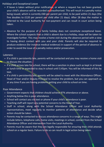#### Holidays and Exceptional Leave

- If leave is taken without prior notification, or where a request has not been granted, your child's absence will be recorded as unauthorised. This will result in a penalty notice being issued, which is currently £60 per parent per child, to be paid within 21 days (the fine doubles to £120 per parent per child after 21 days). After 28 days the matter is referred to the Local Authority for non-payment and can result in court action being taken.
- Absence for the purpose of a family holiday does not constitute exceptional leave. Where the school suspects that a child is absent due to a holiday, steps will be taken to investigate further. This may involve a home visit during the absence period with a view to having direct contact with you and your child. Parents will also be required to produce evidence (for instance medical evidence) in support of the period of absence in order to avoid the issue of a penalty notice and/or prosecution.

#### Lateness

- If a child is persistently late, parents will be contacted and you may receive a home visit to discuss the situation.
- If a child arrives late for school, there will be a sanction in place such as kept in at break or lunch time or expected to stay in school until 3.45pm. You will be informed of this by text.
- If a child is persistently late, parents will be asked to meet with the Attendance Officer, Head of Year and/or Deputy Principal to resolve the problem, but you can approach us at any time if you are having problems getting your child to school on time.

#### Poor Attendance

- Government expects that children should achieve 97% attendance or above.
- Anything below this is poor attendance.
- School will contact you via text or phone if your child's attendance is poor.
- Teaching staff will report any potential concerns to the Head of Year.
- Staff in school, along with the School Attendance Officer and Local Authority representatives, meet regularly to monitor patterns of attendance and decide what action should be taken.
- Parents may be contacted to discuss attendance concerns in a range of ways. This might include letters, telephone calls, home visits, meetings in school, contact from the School Attendance Officer and intervention from the Local Authority.
- Parents must be aware that they are legally responsible for ensuring their child attends school on a regular basis. Failure to do so can result in legal action being taken.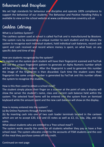### Behaviour and Discipline

We set high standards for behaviour and discipline and operate 100% compliance to support the behaviour of our students. The Behaviour and Positive Handling Policy is available to view on the school website at [www.cardinalwiseman.coventry.sch.uk](http://www.cardinalwiseman.coventry.sch.uk/)

## Cashless Catering

#### What is a Cashless System?

The cashless system used at school is called FasTrak and is manufactured by Biostore. The system runs by associating a unique number to each student and this allows the system to recognise each individual student, hold individual cash balances, record cash spent and cash received and record where money is spent, on what food, on any specific date and time of day.

#### How are students recognised by the system?

To register on the system each student will have their fingerprint scanned and FasTrak will use the unique fingerprint pattern to generate an Alpha Numeric number which will be specific to the student. After the fingerprint is used to generate this number the image of the fingerprint is then discarded. Each time the student scans their fingerprint the same unique number is generated by FasTrak and this number allows the system to recognise the student.

#### How is this then used to obtain a school meal?

The student simply places their finger on a scanner at the point of sale; a display will show the server the student's name, class and current cash balance held within the system. The selected food items will be entered into the system from an itemised keyboard while the amount spent and the new cash balance will show on the display.

#### How is money entered into the system?

(a) By Online Payments through Parent Mail.

(b) By inserting cash into one of two cash loader terminals located in the canteen which are set to accept £20, £10 and £5 notes as well as £2, £1, 50p, 20p, and 10p coins.

What about students who are entitled to a 'free school meal'?

The system works exactly the same for all students whether they pay or have a free school meal. The system allocates credit to the accounts of FSM students and the cost of the meal they purchase comes off this credit.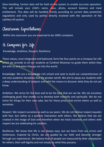Data Handling: Certain data will be held on the system to enable accurate operation. This will include your child's name, class, photo, account balance and meal entitlement. This data will be handled strictly according to current data protection regulations and only used by parties directly involved with the operation of the cashless till system.

## Classroom Expectations

Within the classroom you are expected to be 100% compliant.

## A Compass for Life

Knowledge, Ambition, Respect, Resilience

These values, once integrated and balanced, form the four points on a Compass for Life which we provide to all our students at Cardinal Wiseman to guide them whilst they are with us and when they go out into the world.

Knowledge: We are a knowledge rich school and seek to build our comprehension of not only academic disciplines but the greater world. We aim to equip our students with a deep understanding of subjects and with the means to discover what they do not yet know.

Ambition: We strive for the best and to be the best that we can be. We set ourselves challenging goals that enable us to develop both mentally and spiritually. We do not strive for things for their own sake, but for those prizes that enrich others as well as ourselves.

Respect: We respect ourselves as well as our peers. We do not believe respect equates with fear, but rather as a positive interaction with others. We believe that we are created in the image of God and therefore when we treat ourselves and others with respect we are celebrating his creation.

Resilience: We know that life is not always easy, but we learn from our errors and misfortune. Inspired by Christ, we are guided by our faith and become stronger through our experiences. We believe that all people are measured by their compassion for others, their self-dignity and not simply by what they possess.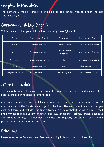## Complaints Procedure

The Romero Complaints Policy is available on the school website under the tab 'Information', Policies.

## Curriculum At Key Stage 3

This is the curriculum your child will follow during Years 7,8 and 9:

| English                    | 9 lesson over 2 weeks  | <b>Creative Arts</b>       | 3 lessons over 2 weeks |
|----------------------------|------------------------|----------------------------|------------------------|
| <b>Maths</b>               | 8 lessons over 2 weeks | <b>Physical Eucation</b>   | 3 lessons over 2 weeks |
| <b>Science</b>             | 8 lessons over 2 weeks | Modern Foreign<br>Language | 4 lessons over 2 weeks |
| Georgaphy                  | 3 lessons over 2 weeks | <b>Ict</b>                 | 2 lessons over 2 weeks |
| <b>History</b>             | 3 lessons over 2 weeks | <b>Music</b>               | 1 lesson over 2 weeks  |
| <b>Religious Education</b> | 5 lessons over 2 weeks | <b>Performing Arts</b>     | 1 lesson over 2 weeks  |

## Extra-Curricular

The school Library is also a place that students can use for quiet study and revision either before school, during school or after school.

Enrichment activities: The school day does not have to end at 3.20pm as there are lots of enrichment activities for students to get involved in. The enrichment calendar changes each half term and includes sporting activities (e.g. basketball, football, rugby, netball and gymnastics) plus a variety of other clubs (e.g. school choir, drama, foreign languages and creative writing). Enrichment activities are regularly posted on social media platforms and in the weekly newsletter.

### Detentions

Please refer to the Behaviour and Positive Handling Policy on the school website.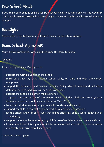### Free School Meals

If you think your child is eligible for free school meals, you can apply via the Coventry City Council's website Free School Meals page. The council website will also tell you how to apply.

## Hairstyles

Please refer to the Behaviour and Positive Policy on the school website.

## Home School Agreement

You will have completed, signed and returned this form to school.

### Section 1

As parents/guardians, I/we agree to:

- support the Catholic values of the school;
- make sure that my child attends school daily, on time and with the correct equipment;
- support the Behaviour and Positive Handling Policy which I understand includes a detention system; and I/we will be 100% compliant
- support the school's policy on mobile phones;
- support the dress code of the school which includes black non leisure/sports footwear, a house school tie and a blazer for Years 7-11;
- treat staff, students and other parents with courtesy and respect;
- support my child in completing homework through Google Classroom;
- let the school know of any issues that might affect my child's work, behaviour or attendance;
- support the school by monitoring my child's use of social media and online activity.
- I understand that it is my responsibility to ensure that my child uses social media effectively and correctly outside school.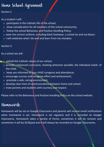## Home School Agreement

### Section 2

As a student I will:

- participate in the Catholic life of the school;
- show consideration for all members of the school community;
- follow the school Behaviour and Positive Handling Policy;
- wear the correct uniform, including black footwear, a school tie and my blazer;
- I will celebrate what I do well and learn from my mistakes.

### Section 3

As a school we will:

- uphold the Catholic values of our school;
- provide a balanced curriculum, meeting wherever possible, the individual needs of the child;
- keep you informed of your child's progress and attendance;
- encourage success and recognise effort and achievement;
- promote a safe, caring environment;
- develop clear lines of communications between home and school;
- treat parents and students with courtesy and respect.

Please refer to the Behaviour and Positive Handling Policy on the school website.

### Homework

Homework will be set on Google Classrooms and parents will receive email notifications when homework is set. Homework is set regularly and it is recorded on Google Classrooms. Homework takes a variety of forms; sometimes it will be revision and sometimes it will be GCSEpod and it will always be recorded on Google Classrooms.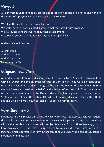## Prayers

All our work is underpinned by prayer and respect for people of all faiths and none. In the words of a prayer inspired by Blessed Oscar Romero:

We plant the seeds that one day will grow. We water seeds already planted, knowing that they hold future promise. We lay foundations that will need further development. We provide yeast that produces far beyond our capabilities.

And our School Prayer is:

All that I think And all that I say And all that I am Everything for Christ

## Religious Education

All students study Religious Education since it is a core subject. Students learn about the Catholic Church and the essential features of Christianity. They will also learn about other world faiths. As students' progress through the school, they will study GCSE in Catholic Theology as well as the beliefs and practices of Judaism. All of the programmes of study have been approved by The Archdiocese of Birmingham most recently in our Section 48 inspection in November 2018 where Religious Education, along with Catholic Life and Collective Worship, was rated as "Good" in every category.

## Reporting Home

Parents/carers will receive a Progress Review twice a year. Subject to Covid restrictions, there will be two Parents' Evenings during the year which parents/carers can attend and will be able to discuss any issues with subject teachers. Prior to these evenings, if you have any concerns/issues please direct them to your child's form tutor in the first instance. Email addresses for form tutors can be found under the heading 'Students & Parents/Communication'.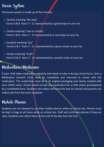## House System

The house system is made up of four houses:

- Camino meaning "the way" Forms A & B Years 7 - 11 represented by a gold stripe on your tie.
- Caritas meaning "care or charity" Forms C & D Years 7 - 11 represented by a red stripe on your tie.
- Gaudete meaning "joy" Forms E & F Years 7 - 11 represented by a green stripe on your tie.
- Veritas meaning "truth" Forms G & H Years 7 - 11 represented by a purple stripe on your tie.

### Medication/Medicines

If your child takes medication regularly and needs to take it during school hours, then a Medication Consent Form must be completed and returned to school with the medication. The medication must be in its original packaging and clearly marked with your child's name. School cannot accept any medication for a child unless accompanied by a completed form. Students can collect one from the hub (in school) and parents can collect one from the main reception.

### Mobile Phones

Students are not allowed to use their mobile phones while on school site. Phones must be kept in bags at all times while on school site. Staff will confiscate phones if they are seen. Students can collect them at the end of the day from the hub.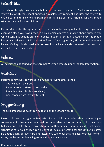### Parent Mail

The school strongly recommends that parents activate their Parent Mail accounts as this system by which the school operates a cashless environment and uses the system to enable parents to make online payments for a range of items including lunches, school trips and events for their children.

Parent Mail is also the system used by the school for taking online booking of parents' evening slots. If you have provided a valid email address or mobile phone number, you will be sent instructions on how to activate your Parent Mail account once the school has processed your child's induction forms. Once signed up, the Cardinal Wiseman Parent Mail app is also available to download which can also be used to access your account to make payments.

### Policies

All policies can be found on the Cardinal Wiseman website under the tab 'Information'.

### Rewards

Positive behaviour is rewarded in a number of ways across school:

- Positive points awarded
- Parental contact (Ietters, postcards)
- Assemblies (certificates, vouchers)
- Governors' awards (by invitation)

# Safeguarding

The full Safeguarding policy can be found on the school website.

Every child has the right to feel safe. If your child is worried about something or someone which has made them feel uncomfortable or has hurt your child, they must tell someone. Child abuse is any action by another person – adult or child – that causes significant harm to a child. It can be physical, sexual or emotional but can just as often be about a lack of love, care and attention. We know that neglect, whatever form it takes, can be just as damaging to a child as physical abuse.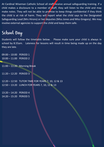At Cardinal Wiseman Catholic School all staff receive annual safeguarding training. If a child makes a disclosure to a member of staff, they will listen to the child and may make notes. They will not be able to promise to keep things confidential if they think the child is at risk of harm. They will report what the child says to the Designated Safeguarding Lead (Mrs Hirons) or her deputies (Miss Jones and Miss Gregory). We may involve external agencies to support the child and keep them safe.

## School Day

Students will follow the timetable below. Please make sure your child is always in school by 8.55am. Lateness for lessons will result in time being made up on the day they are late.

09:00 – 10:00 PERIOD 1 10:00 – 11:00 PERIOD 2

- 11:00 11:20 Morning Break
- 11:20 12:20 PERIOD 3

12:20 – 12:50 TUTOR TIME FOR YEARS 7, 10, 12 & 13 12:50 – 13:20 LUNCH FOR YEARS 7, 10, 12 & 13

13:20 – 14:20 PERIOD 4 14:20 – 15:20 PERIOD 5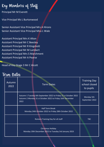Key Members of Staff

Principal Mr M Everett

Vice Principal Ms L Burtonwood

Senior Assistant Vice Principal Mrs A Hirons Senior Assistant Vice Principal Miss L Wale

Assistant Principal Mrs K Alton Assistant Principal Mr C Beesley Assistant Principal Mr R Kingshott Assistant Principal Mr M Lambert Assistant Principal Mrs S Marshment Assistant Principal Mr A Pearse

Head of Key Stage 3 Mr C Alcott

### Dates

| UWU UWUS       |                                                                                                                                        |                                                   |
|----------------|----------------------------------------------------------------------------------------------------------------------------------------|---------------------------------------------------|
| Autumn<br>2022 | <b>Term Dates</b>                                                                                                                      | <b>Training Day</b><br>school closed<br>to pupils |
|                | Autumn 1 Tuesday 6th September 2022 to Friday 21 st October 2022<br>Autumn 2 Monday 31 st October 2022 to Friday 16th December<br>2022 | Monday 5th<br>September 2022                      |
|                | <b>Half Term Break</b><br>Monday 24th October 2022 to Friday 28th October 2022                                                         |                                                   |
|                | Romero Training Day for all staff                                                                                                      | <b>TBC</b>                                        |
|                | <b>Christmas Holiday</b><br>Monday 19th December 2022 to Tuesday 3rd January 2023                                                      |                                                   |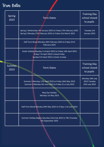# Term Dates

| <b>Spring</b><br>2023 | <b>Term Dates</b>                                                                                                                                   | <b>Training Day</b><br>school closed<br>to pupils  |
|-----------------------|-----------------------------------------------------------------------------------------------------------------------------------------------------|----------------------------------------------------|
|                       | Spring 1 Wednesday 4th January 2023 to Friday 17th February 2023<br>Spring 2 Monday 27th February 2023 to Friday 31st March 2023                    | <b>Tuesday 3rd</b><br>January 2023                 |
|                       | Half Term Break Monday 20th February 2023 to Friday 24 th<br>February 2023                                                                          |                                                    |
|                       | Easter Holiday Monday 3 rd April 2023 to Friday 14th April 2023<br>Friday 7 th April 2023 is Good Friday<br>Sunday 9 th April 2023 is Easter Sunday |                                                    |
| Summer<br>2023        | <b>Term Dates</b>                                                                                                                                   | <b>Training Day</b><br>school closed<br>to pupils  |
|                       | Summer 1 Monday 17th April 2023 to Friday 26th May 2023<br>Summer 2 Monday 5th June 2023 to Friday 21 st July 2023                                  | Monday 24th July<br>2023 Tuesday<br>25th July 2023 |
|                       | May Day Holiday<br>Monday 1st May 2023                                                                                                              |                                                    |
|                       | Half Term Break Monday 29th May 2023 to Friday 2 nd June 2023                                                                                       |                                                    |
|                       | Summer Holiday Begins Saturday 22nd July 2023 to TBC (Tuesday<br>5th September 2023                                                                 |                                                    |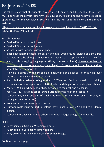## Uniform and PE Kit

It is school policy that all students in Years  $7 - 11$  must wear full school uniform. They must also wear the correct kit for Physical Education. All clothing and hairstyles must be appropriate for the workplace. You will find the full Uniform Policy on the school website:

[https://cardinalwiseman.coventry.sch.uk/wp-content/uploads/sites/2/2019/08/CW-](https://cardinalwiseman.coventry.sch.uk/wp-content/uploads/sites/2/2019/08/CW-School-Uniform-Policy-1.pdf)School-Uniform-Policy-1.pdf

For all students:

- Cardinal Wiseman school blazer.
- Cardinal Wiseman school jumper.
- School tie with Cardinal Wiseman badge.
- Black knee length pleated school skirt (no mini, wrap around, divided or tight skirts, no Lycra or tube skirts) or black school trousers of acceptable width or style (no jeans, cords or leggings/jeggings, no skinny trousers or chinos). Please note that the skirt needs to be of an appropriate length. Trousers should be black and of acceptable width (bootcut).
- Plain black tights (40 denier) or plain black/white ankle socks. No knee-high, over the knee or thigh length socks allowed.
- Plain black shoes heels no higher than 1.5"/4cms (no fashion shoes/boots, training shoes, canvas pumps/plimsolls, stiletto heels, sandals, platform or sling back shoes).
- Years 7 9: Plain white school shirt, buttoned to the neck and tucked in.
- Years 10 11: Pale blue school shirt, buttoned to the neck and tucked in.
- Students may wear one pair of small stud earring (in ear lobes only no body or facial piercings permitted).
- No make-up or nail varnish to be worn.
- Outdoor coats must be dark in colour (navy, black, brown). No hoodies or denim jackets.
- Students must have a suitable school bag which is large enough for an A4 file.

PE Kit

- Rugby jersey in Cardinal Wiseman colours.
- Rugby socks in Cardinal Wiseman colours.
- Navy polo shirt for PE with Cardinal Wiseman badge.